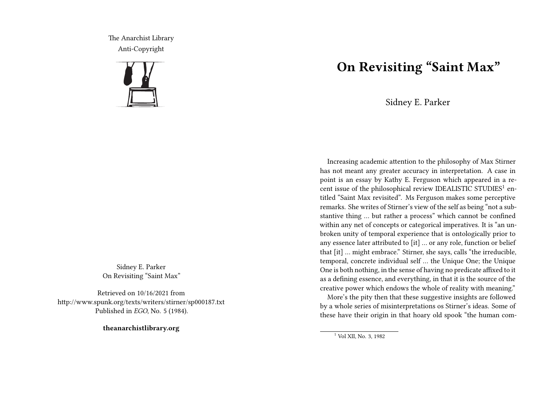The Anarchist Library Anti-Copyright



Sidney E. Parker On Revisiting "Saint Max"

Retrieved on 10/16/2021 from http://www.spunk.org/texts/writers/stirner/sp000187.txt Published in *EGO*, No. 5 (1984).

**theanarchistlibrary.org**

## **On Revisiting "Saint Max"**

Sidney E. Parker

Increasing academic attention to the philosophy of Max Stirner has not meant any greater accuracy in interpretation. A case in point is an essay by Kathy E. Ferguson which appeared in a recent issue of the philosophical review IDEALISTIC STUDIES<sup>1</sup> entitled "Saint Max revisited". Ms Ferguson makes some perceptive remarks. She writes of Stirner's view of the self as being "not a substantive thing … but rather a process" which cannot be confined within any net of concepts or categorical imperatives. It is "an unbroken unity of temporal experience that is ontologically prior to any essence later attributed to [it] … or any role, function or belief that [it] … might embrace." Stirner, she says, calls "the irreducible, temporal, concrete individual self … the Unique One; the Unique One is both nothing, in the sense of having no predicate affixed to it as a defining essence, and everything, in that it is the source of the creative power which endows the whole of reality with meaning."

More's the pity then that these suggestive insights are followed by a whole series of misinterpretations os Stirner's ideas. Some of these have their origin in that hoary old spook "the human com-

<sup>1</sup> Vol XII, No. 3, 1982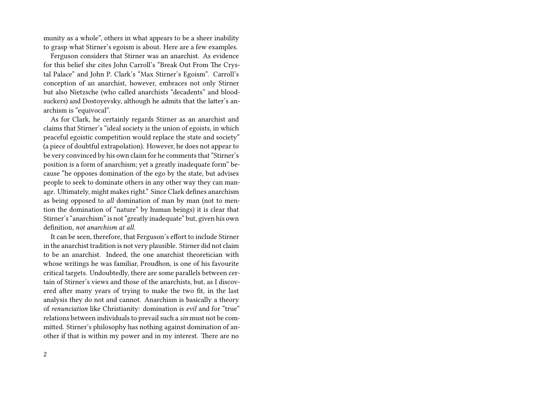munity as a whole", others in what appears to be a sheer inability to grasp what Stirner's egoism is about. Here are a few examples.

Ferguson considers that Stirner was an anarchist. As evidence for this belief she cites John Carroll's "Break Out From The Crystal Palace" and John P. Clark's "Max Stirner's Egoism". Carroll's conception of an anarchist, however, embraces not only Stirner but also Nietzsche (who called anarchists "decadents" and bloodsuckers) and Dostoyevsky, although he admits that the latter's anarchism is "equivocal".

As for Clark, he certainly regards Stirner as an anarchist and claims that Stirner's "ideal society is the union of egoists, in which peaceful egoistic competition would replace the state and society" (a piece of doubtful extrapolation). However, he does not appear to be very convinced by his own claim for he comments that "Stirner's position is a form of anarchism; yet a greatly inadequate form" because "he opposes domination of the ego by the state, but advises people to seek to dominate others in any other way they can manage. Ultimately, might makes right." Since Clark defines anarchism as being opposed to *all* domination of man by man (not to mention the domination of "nature" by human beings) it is clear that Stirner's "anarchism" is not "greatly inadequate" but, given his own definition, *not anarchism at all*.

It can be seen, therefore, that Ferguson's effort to include Stirner in the anarchist tradition is not very plausible. Stirner did not claim to be an anarchist. Indeed, the one anarchist theoretician with whose writings he was familiar, Proudhon, is one of his favourite critical targets. Undoubtedly, there are some parallels between certain of Stirner's views and those of the anarchists, but, as I discovered after many years of trying to make the two fit, in the last analysis they do not and cannot. Anarchism is basically a theory of *renunciation* like Christianity: domination is *evil* and for "true" relations between individuals to prevail such a *sin* must not be committed. Stirner's philosophy has nothing against domination of another if that is within my power and in my interest. There are no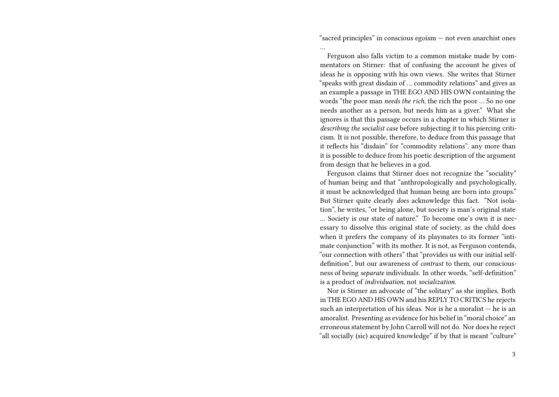"sacred principles" in conscious egoism — not even anarchist ones

…

Ferguson also falls victim to a common mistake made by commentators on Stirner: that of confusing the account he gives of ideas he is opposing with his own views. She writes that Stirner "speaks with great disdain of … commodity relations" and gives as an example a passage in THE EGO AND HIS OWN containing the words "the poor man *needs the rich*, the rich the poor … So no one needs another as a person, but needs him as a giver." What she ignores is that this passage occurs in a chapter in which Stirner is *describing the socialist case* before subjecting it to his piercing criticism. It is not possible, therefore, to deduce from this passage that it reflects his "disdain" for "commodity relations", any more than it is possible to deduce from his poetic description of the argument from design that he believes in a god.

Ferguson claims that Stirner does not recognize the "sociality" of human being and that "anthropologically and psychologically, it must be acknowledged that human being are born into groups." But Stirner quite clearly *does* acknowledge this fact. "Not isolation", he writes, "or being alone, but society is man's original state … Society is our state of nature." To become one's own it is necessary to dissolve this original state of society, as the child does when it prefers the company of its playmates to its former "intimate conjunction" with its mother. It is not, as Ferguson contends, "our connection with others" that "provides us with our initial selfdefinition", but our awareness of *contrast* to them, our consciousness of being *separate* individuals. In other words, "self-definition" is a product of *individuation*, not *socialization*.

Nor is Stirner an advocate of "the solitary" as she implies. Both in THE EGO AND HIS OWN and his REPLY TO CRITICS he rejects such an interpretation of his ideas. Nor is he a moralist — he is an amoralist. Presenting as evidence for his belief in "moral choice" an erroneous statement by John Carroll will not do. Nor does he reject "all socially (sic) acquired knowledge" if by that is meant "culture"